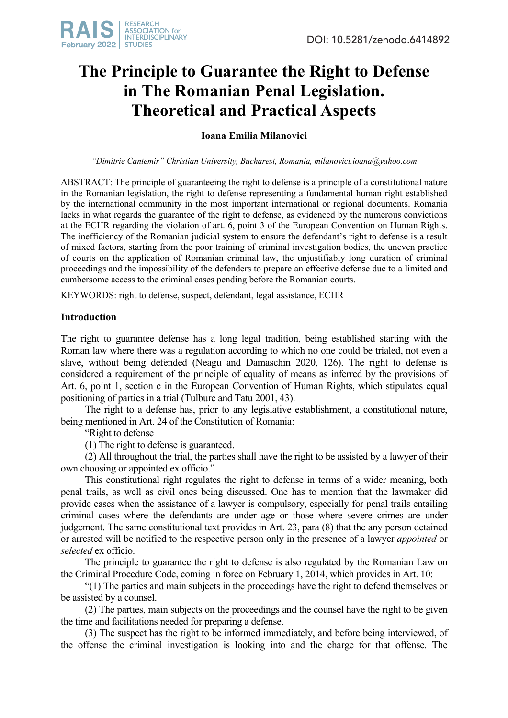# **The Principle to Guarantee the Right to Defense in The Romanian Penal Legislation. Theoretical and Practical Aspects**

## **Ioana Emilia Milanovici**

*"Dimitrie Cantemir" Christian University, Bucharest, Romania, milanovici.ioana@yahoo.com*

ABSTRACT: The principle of guaranteeing the right to defense is a principle of a constitutional nature in the Romanian legislation, the right to defense representing a fundamental human right established by the international community in the most important international or regional documents. Romania lacks in what regards the guarantee of the right to defense, as evidenced by the numerous convictions at the ECHR regarding the violation of art. 6, point 3 of the European Convention on Human Rights. The inefficiency of the Romanian judicial system to ensure the defendant's right to defense is a result of mixed factors, starting from the poor training of criminal investigation bodies, the uneven practice of courts on the application of Romanian criminal law, the unjustifiably long duration of criminal proceedings and the impossibility of the defenders to prepare an effective defense due to a limited and cumbersome access to the criminal cases pending before the Romanian courts.

KEYWORDS: right to defense, suspect, defendant, legal assistance, ECHR

## **Introduction**

The right to guarantee defense has a long legal tradition, being established starting with the Roman law where there was a regulation according to which no one could be trialed, not even a slave, without being defended (Neagu and Damaschin 2020, 126). The right to defense is considered a requirement of the principle of equality of means as inferred by the provisions of Art. 6, point 1, section c in the European Convention of Human Rights, which stipulates equal positioning of parties in a trial (Tulbure and Tatu 2001, 43).

The right to a defense has, prior to any legislative establishment, a constitutional nature, being mentioned in Art. 24 of the Constitution of Romania:

"Right to defense

(1) The right to defense is guaranteed.

(2) All throughout the trial, the parties shall have the right to be assisted by a lawyer of their own choosing or appointed ex officio."

This constitutional right regulates the right to defense in terms of a wider meaning, both penal trails, as well as civil ones being discussed. One has to mention that the lawmaker did provide cases when the assistance of a lawyer is compulsory, especially for penal trails entailing criminal cases where the defendants are under age or those where severe crimes are under judgement. The same constitutional text provides in Art. 23, para (8) that the any person detained or arrested will be notified to the respective person only in the presence of a lawyer *appointed* or *selected* ex officio.

The principle to guarantee the right to defense is also regulated by the Romanian Law on the Criminal Procedure Code, coming in force on February 1, 2014, which provides in Art. 10:

"(1) The parties and main subjects in the proceedings have the right to defend themselves or be assisted by a counsel.

(2) The parties, main subjects on the proceedings and the counsel have the right to be given the time and facilitations needed for preparing a defense.

(3) The suspect has the right to be informed immediately, and before being interviewed, of the offense the criminal investigation is looking into and the charge for that offense. The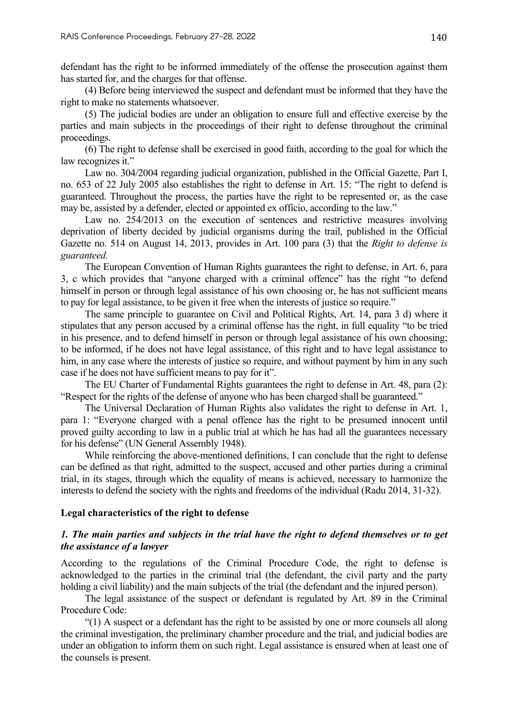defendant has the right to be informed immediately of the offense the prosecution against them has started for, and the charges for that offense.

(4) Before being interviewed the suspect and defendant must be informed that they have the right to make no statements whatsoever.

(5) The judicial bodies are under an obligation to ensure full and effective exercise by the parties and main subjects in the proceedings of their right to defense throughout the criminal proceedings.

(6) The right to defense shall be exercised in good faith, according to the goal for which the law recognizes it."

Law no. 304/2004 regarding judicial organization, published in the Official Gazette, Part I, no. 653 of 22 July 2005 also establishes the right to defense in Art. 15: "The right to defend is guaranteed. Throughout the process, the parties have the right to be represented or, as the case may be, assisted by a defender, elected or appointed ex officio, according to the law."

Law no. 254/2013 on the execution of sentences and restrictive measures involving deprivation of liberty decided by judicial organisms during the trail, published in the Official Gazette no. 514 on August 14, 2013, provides in Art. 100 para (3) that the *Right to defense is guaranteed.*

The European Convention of Human Rights guarantees the right to defense, in Art. 6, para 3, c which provides that "anyone charged with a criminal offence" has the right "to defend himself in person or through legal assistance of his own choosing or, he has not sufficient means to pay for legal assistance, to be given it free when the interests of justice so require."

The same principle to guarantee on Civil and Political Rights, Art. 14, para 3 d) where it stipulates that any person accused by a criminal offense has the right, in full equality "to be tried in his presence, and to defend himself in person or through legal assistance of his own choosing; to be informed, if he does not have legal assistance, of this right and to have legal assistance to him, in any case where the interests of justice so require, and without payment by him in any such case if he does not have sufficient means to pay for it".

The EU Charter of Fundamental Rights guarantees the right to defense in Art. 48, para (2): "Respect for the rights of the defense of anyone who has been charged shall be guaranteed."

The Universal Declaration of Human Rights also validates the right to defense in Art. 1, para 1: "Everyone charged with a penal offence has the right to be presumed innocent until proved guilty according to law in a public trial at which he has had all the guarantees necessary for his defense" (UN General Assembly 1948).

While reinforcing the above-mentioned definitions, I can conclude that the right to defense can be defined as that right, admitted to the suspect, accused and other parties during a criminal trial, in its stages, through which the equality of means is achieved, necessary to harmonize the interests to defend the society with the rights and freedoms of the individual (Radu 2014, 31-32).

#### **Legal characteristics of the right to defense**

#### *1. The main parties and subjects in the trial have the right to defend themselves or to get the assistance of a lawyer*

According to the regulations of the Criminal Procedure Code, the right to defense is acknowledged to the parties in the criminal trial (the defendant, the civil party and the party holding a civil liability) and the main subjects of the trial (the defendant and the injured person).

The legal assistance of the suspect or defendant is regulated by Art. 89 in the Criminal Procedure Code:

"(1) A suspect or a defendant has the right to be assisted by one or more counsels all along the criminal investigation, the preliminary chamber procedure and the trial, and judicial bodies are under an obligation to inform them on such right. Legal assistance is ensured when at least one of the counsels is present.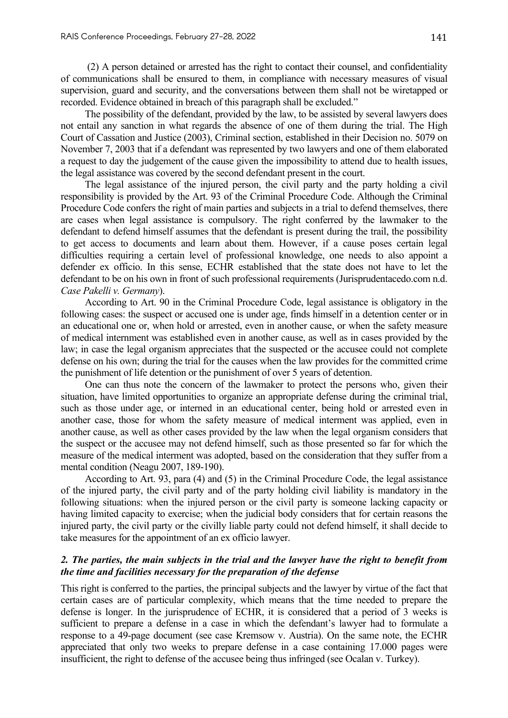(2) A person detained or arrested has the right to contact their counsel, and confidentiality of communications shall be ensured to them, in compliance with necessary measures of visual supervision, guard and security, and the conversations between them shall not be wiretapped or recorded. Evidence obtained in breach of this paragraph shall be excluded."

The possibility of the defendant, provided by the law, to be assisted by several lawyers does not entail any sanction in what regards the absence of one of them during the trial. The High Court of Cassation and Justice (2003), Criminal section, established in their Decision no. 5079 on November 7, 2003 that if a defendant was represented by two lawyers and one of them elaborated a request to day the judgement of the cause given the impossibility to attend due to health issues, the legal assistance was covered by the second defendant present in the court.

The legal assistance of the injured person, the civil party and the party holding a civil responsibility is provided by the Art. 93 of the Criminal Procedure Code. Although the Criminal Procedure Code confers the right of main parties and subjects in a trial to defend themselves, there are cases when legal assistance is compulsory. The right conferred by the lawmaker to the defendant to defend himself assumes that the defendant is present during the trail, the possibility to get access to documents and learn about them. However, if a cause poses certain legal difficulties requiring a certain level of professional knowledge, one needs to also appoint a defender ex officio. In this sense, ECHR established that the state does not have to let the defendant to be on his own in front of such professional requirements (Jurisprudentacedo.com n.d. *Case Pakelli v. Germany*).

According to Art. 90 in the Criminal Procedure Code, legal assistance is obligatory in the following cases: the suspect or accused one is under age, finds himself in a detention center or in an educational one or, when hold or arrested, even in another cause, or when the safety measure of medical internment was established even in another cause, as well as in cases provided by the law; in case the legal organism appreciates that the suspected or the accusee could not complete defense on his own; during the trial for the causes when the law provides for the committed crime the punishment of life detention or the punishment of over 5 years of detention.

One can thus note the concern of the lawmaker to protect the persons who, given their situation, have limited opportunities to organize an appropriate defense during the criminal trial, such as those under age, or interned in an educational center, being hold or arrested even in another case, those for whom the safety measure of medical interment was applied, even in another cause, as well as other cases provided by the law when the legal organism considers that the suspect or the accusee may not defend himself, such as those presented so far for which the measure of the medical interment was adopted, based on the consideration that they suffer from a mental condition (Neagu 2007, 189-190).

According to Art. 93, para (4) and (5) in the Criminal Procedure Code, the legal assistance of the injured party, the civil party and of the party holding civil liability is mandatory in the following situations: when the injured person or the civil party is someone lacking capacity or having limited capacity to exercise; when the judicial body considers that for certain reasons the injured party, the civil party or the civilly liable party could not defend himself, it shall decide to take measures for the appointment of an ex officio lawyer.

#### *2. The parties, the main subjects in the trial and the lawyer have the right to benefit from the time and facilities necessary for the preparation of the defense*

This right is conferred to the parties, the principal subjects and the lawyer by virtue of the fact that certain cases are of particular complexity, which means that the time needed to prepare the defense is longer. In the jurisprudence of ECHR, it is considered that a period of 3 weeks is sufficient to prepare a defense in a case in which the defendant's lawyer had to formulate a response to a 49-page document (see case Kremsow v. Austria). On the same note, the ECHR appreciated that only two weeks to prepare defense in a case containing 17.000 pages were insufficient, the right to defense of the accusee being thus infringed (see Ocalan v. Turkey).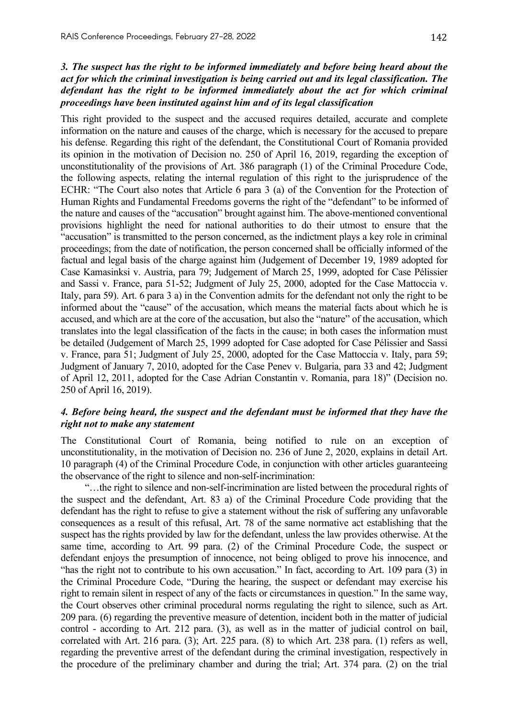### *3. The suspect has the right to be informed immediately and before being heard about the act for which the criminal investigation is being carried out and its legal classification. The defendant has the right to be informed immediately about the act for which criminal proceedings have been instituted against him and of its legal classification*

This right provided to the suspect and the accused requires detailed, accurate and complete information on the nature and causes of the charge, which is necessary for the accused to prepare his defense. Regarding this right of the defendant, the Constitutional Court of Romania provided its opinion in the motivation of Decision no. 250 of April 16, 2019, regarding the exception of unconstitutionality of the provisions of Art. 386 paragraph (1) of the Criminal Procedure Code, the following aspects, relating the internal regulation of this right to the jurisprudence of the ECHR: "The Court also notes that Article 6 para 3 (a) of the Convention for the Protection of Human Rights and Fundamental Freedoms governs the right of the "defendant" to be informed of the nature and causes of the "accusation" brought against him. The above-mentioned conventional provisions highlight the need for national authorities to do their utmost to ensure that the "accusation" is transmitted to the person concerned, as the indictment plays a key role in criminal proceedings; from the date of notification, the person concerned shall be officially informed of the factual and legal basis of the charge against him (Judgement of December 19, 1989 adopted for Case Kamasinksi v. Austria, para 79; Judgement of March 25, 1999, adopted for Case Pélissier and Sassi v. France, para 51-52; Judgment of July 25, 2000, adopted for the Case Mattoccia v. Italy, para 59). Art. 6 para 3 a) in the Convention admits for the defendant not only the right to be informed about the "cause" of the accusation, which means the material facts about which he is accused, and which are at the core of the accusation, but also the "nature" of the accusation, which translates into the legal classification of the facts in the cause; in both cases the information must be detailed (Judgement of March 25, 1999 adopted for Case adopted for Case Pélissier and Sassi v. France, para 51; Judgment of July 25, 2000, adopted for the Case Mattoccia v. Italy, para 59; Judgment of January 7, 2010, adopted for the Case Penev v. Bulgaria, para 33 and 42; Judgment of April 12, 2011, adopted for the Case Adrian Constantin v. Romania, para 18)" (Decision no. 250 of April 16, 2019).

#### *4. Before being heard, the suspect and the defendant must be informed that they have the right not to make any statement*

The Constitutional Court of Romania, being notified to rule on an exception of unconstitutionality, in the motivation of Decision no. 236 of June 2, 2020, explains in detail Art. 10 paragraph (4) of the Criminal Procedure Code, in conjunction with other articles guaranteeing the observance of the right to silence and non-self-incrimination:

"…the right to silence and non-self-incrimination are listed between the procedural rights of the suspect and the defendant, Art. 83 a) of the Criminal Procedure Code providing that the defendant has the right to refuse to give a statement without the risk of suffering any unfavorable consequences as a result of this refusal, Art. 78 of the same normative act establishing that the suspect has the rights provided by law for the defendant, unless the law provides otherwise. At the same time, according to Art. 99 para. (2) of the Criminal Procedure Code, the suspect or defendant enjoys the presumption of innocence, not being obliged to prove his innocence, and "has the right not to contribute to his own accusation." In fact, according to Art. 109 para (3) in the Criminal Procedure Code, "During the hearing, the suspect or defendant may exercise his right to remain silent in respect of any of the facts or circumstances in question." In the same way, the Court observes other criminal procedural norms regulating the right to silence, such as Art. 209 para. (6) regarding the preventive measure of detention, incident both in the matter of judicial control - according to Art. 212 para. (3), as well as in the matter of judicial control on bail, correlated with Art. 216 para. (3); Art. 225 para. (8) to which Art. 238 para. (1) refers as well, regarding the preventive arrest of the defendant during the criminal investigation, respectively in the procedure of the preliminary chamber and during the trial; Art. 374 para. (2) on the trial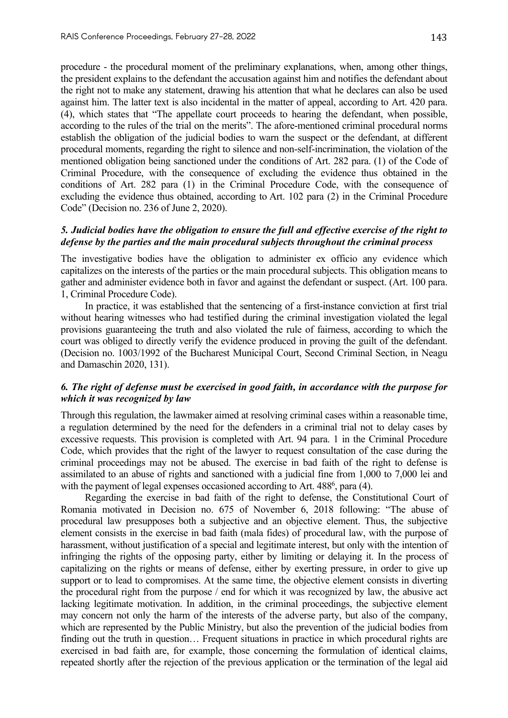procedure - the procedural moment of the preliminary explanations, when, among other things, the president explains to the defendant the accusation against him and notifies the defendant about the right not to make any statement, drawing his attention that what he declares can also be used against him. The latter text is also incidental in the matter of appeal, according to Art. 420 para. (4), which states that "The appellate court proceeds to hearing the defendant, when possible, according to the rules of the trial on the merits". The afore-mentioned criminal procedural norms establish the obligation of the judicial bodies to warn the suspect or the defendant, at different procedural moments, regarding the right to silence and non-self-incrimination, the violation of the mentioned obligation being sanctioned under the conditions of Art. 282 para. (1) of the Code of Criminal Procedure, with the consequence of excluding the evidence thus obtained in the conditions of Art. 282 para (1) in the Criminal Procedure Code, with the consequence of excluding the evidence thus obtained, according to Art. 102 para (2) in the Criminal Procedure Code" (Decision no. 236 of June 2, 2020).

## *5. Judicial bodies have the obligation to ensure the full and effective exercise of the right to defense by the parties and the main procedural subjects throughout the criminal process*

The investigative bodies have the obligation to administer ex officio any evidence which capitalizes on the interests of the parties or the main procedural subjects. This obligation means to gather and administer evidence both in favor and against the defendant or suspect. (Art. 100 para. 1, Criminal Procedure Code).

In practice, it was established that the sentencing of a first-instance conviction at first trial without hearing witnesses who had testified during the criminal investigation violated the legal provisions guaranteeing the truth and also violated the rule of fairness, according to which the court was obliged to directly verify the evidence produced in proving the guilt of the defendant. (Decision no. 1003/1992 of the Bucharest Municipal Court, Second Criminal Section, in Neagu and Damaschin 2020, 131).

## *6. The right of defense must be exercised in good faith, in accordance with the purpose for which it was recognized by law*

Through this regulation, the lawmaker aimed at resolving criminal cases within a reasonable time, a regulation determined by the need for the defenders in a criminal trial not to delay cases by excessive requests. This provision is completed with Art. 94 para. 1 in the Criminal Procedure Code, which provides that the right of the lawyer to request consultation of the case during the criminal proceedings may not be abused. The exercise in bad faith of the right to defense is assimilated to an abuse of rights and sanctioned with a judicial fine from 1,000 to 7,000 lei and with the payment of legal expenses occasioned according to Art. 488<sup>6</sup>, para (4).

Regarding the exercise in bad faith of the right to defense, the Constitutional Court of Romania motivated in Decision no. 675 of November 6, 2018 following: "The abuse of procedural law presupposes both a subjective and an objective element. Thus, the subjective element consists in the exercise in bad faith (mala fides) of procedural law, with the purpose of harassment, without justification of a special and legitimate interest, but only with the intention of infringing the rights of the opposing party, either by limiting or delaying it. In the process of capitalizing on the rights or means of defense, either by exerting pressure, in order to give up support or to lead to compromises. At the same time, the objective element consists in diverting the procedural right from the purpose / end for which it was recognized by law, the abusive act lacking legitimate motivation. In addition, in the criminal proceedings, the subjective element may concern not only the harm of the interests of the adverse party, but also of the company, which are represented by the Public Ministry, but also the prevention of the judicial bodies from finding out the truth in question… Frequent situations in practice in which procedural rights are exercised in bad faith are, for example, those concerning the formulation of identical claims, repeated shortly after the rejection of the previous application or the termination of the legal aid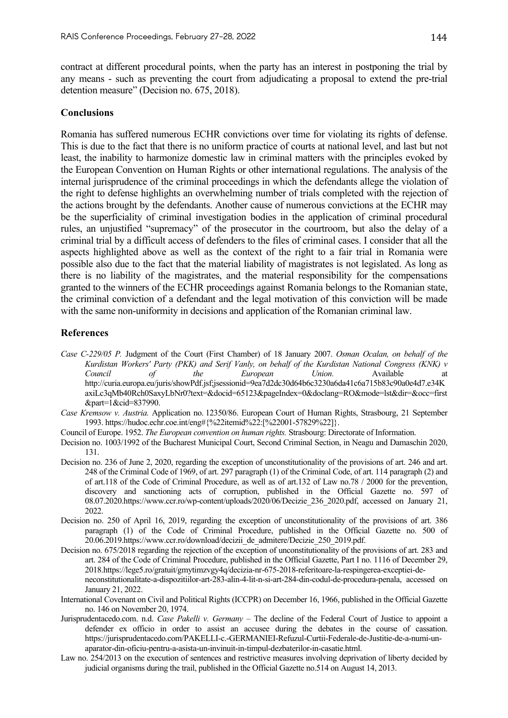contract at different procedural points, when the party has an interest in postponing the trial by any means - such as preventing the court from adjudicating a proposal to extend the pre-trial detention measure" (Decision no. 675, 2018).

#### **Conclusions**

Romania has suffered numerous ECHR convictions over time for violating its rights of defense. This is due to the fact that there is no uniform practice of courts at national level, and last but not least, the inability to harmonize domestic law in criminal matters with the principles evoked by the European Convention on Human Rights or other international regulations. The analysis of the internal jurisprudence of the criminal proceedings in which the defendants allege the violation of the right to defense highlights an overwhelming number of trials completed with the rejection of the actions brought by the defendants. Another cause of numerous convictions at the ECHR may be the superficiality of criminal investigation bodies in the application of criminal procedural rules, an unjustified "supremacy" of the prosecutor in the courtroom, but also the delay of a criminal trial by a difficult access of defenders to the files of criminal cases. I consider that all the aspects highlighted above as well as the context of the right to a fair trial in Romania were possible also due to the fact that the material liability of magistrates is not legislated. As long as there is no liability of the magistrates, and the material responsibility for the compensations granted to the winners of the ECHR proceedings against Romania belongs to the Romanian state, the criminal conviction of a defendant and the legal motivation of this conviction will be made with the same non-uniformity in decisions and application of the Romanian criminal law.

#### **References**

- *Case C-229/05 P.* Judgment of the Court (First Chamber) of 18 January 2007. *Osman Ocalan, on behalf of the Kurdistan Workers' Party (PKK) and Serif Vanly, on behalf of the Kurdistan National Congress (KNK) v Council of the European Union.* Available at http://curia.europa.eu/juris/showPdf.jsf;jsessionid=9ea7d2dc30d64b6c3230a6da41c6a715b83c90a0e4d7.e34K axiLc3qMb40Rch0SaxyLbNr0?text=&docid=65123&pageIndex=0&doclang=RO&mode=lst&dir=&occ=first &part=1&cid=837990.
- *Case Kremsow v. Austria.* Application no. 12350/86. European Court of Human Rights, Strasbourg, 21 September 1993. https://hudoc.echr.coe.int/eng#{%22itemid%22:[%22001-57829%22]}.
- Council of Europe. 1952. *The European convention on human rights.* Strasbourg: Directorate of Information.
- Decision no. 1003/1992 of the Bucharest Municipal Court, Second Criminal Section, in Neagu and Damaschin 2020, 131.
- Decision no. 236 of June 2, 2020, regarding the exception of unconstitutionality of the provisions of art. 246 and art. 248 of the Criminal Code of 1969, of art. 297 paragraph (1) of the Criminal Code, of art. 114 paragraph (2) and of art.118 of the Code of Criminal Procedure, as well as of art.132 of Law no.78 / 2000 for the prevention, discovery and sanctioning acts of corruption, published in the Official Gazette no. 597 of 08.07.2020.https://www.ccr.ro/wp-content/uploads/2020/06/Decizie\_236\_2020.pdf, accessed on January 21, 2022.
- Decision no. 250 of April 16, 2019, regarding the exception of unconstitutionality of the provisions of art. 386 paragraph (1) of the Code of Criminal Procedure, published in the Official Gazette no. 500 of 20.06.2019.https://www.ccr.ro/download/decizii\_de\_admitere/Decizie\_250\_2019.pdf.
- Decision no. 675/2018 regarding the rejection of the exception of unconstitutionality of the provisions of art. 283 and art. 284 of the Code of Criminal Procedure, published in the Official Gazette, Part I no. 1116 of December 29, 2018.https://lege5.ro/gratuit/gmytimzvgy4q/decizia-nr-675-2018-referitoare-la-respingerea-exceptiei-deneconstitutionalitate-a-dispozitiilor-art-283-alin-4-lit-n-si-art-284-din-codul-de-procedura-penala, accessed on January 21, 2022.
- International Covenant on Civil and Political Rights (ICCPR) on December 16, 1966, published in the Official Gazette no. 146 on November 20, 1974.
- Jurisprudentacedo.com. n.d. *Case Pakelli v. Germany* The decline of the Federal Court of Justice to appoint a defender ex officio in order to assist an accusee during the debates in the course of cassation. https://jurisprudentacedo.com/PAKELLI-c.-GERMANIEI-Refuzul-Curtii-Federale-de-Justitie-de-a-numi-unaparator-din-oficiu-pentru-a-asista-un-invinuit-in-timpul-dezbaterilor-in-casatie.html.
- Law no. 254/2013 on the execution of sentences and restrictive measures involving deprivation of liberty decided by judicial organisms during the trail, published in the Official Gazette no.514 on August 14, 2013.